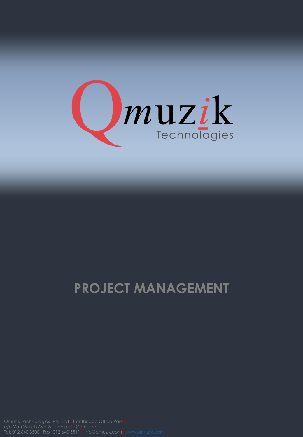

## **PROJECT MANAGEMENT**